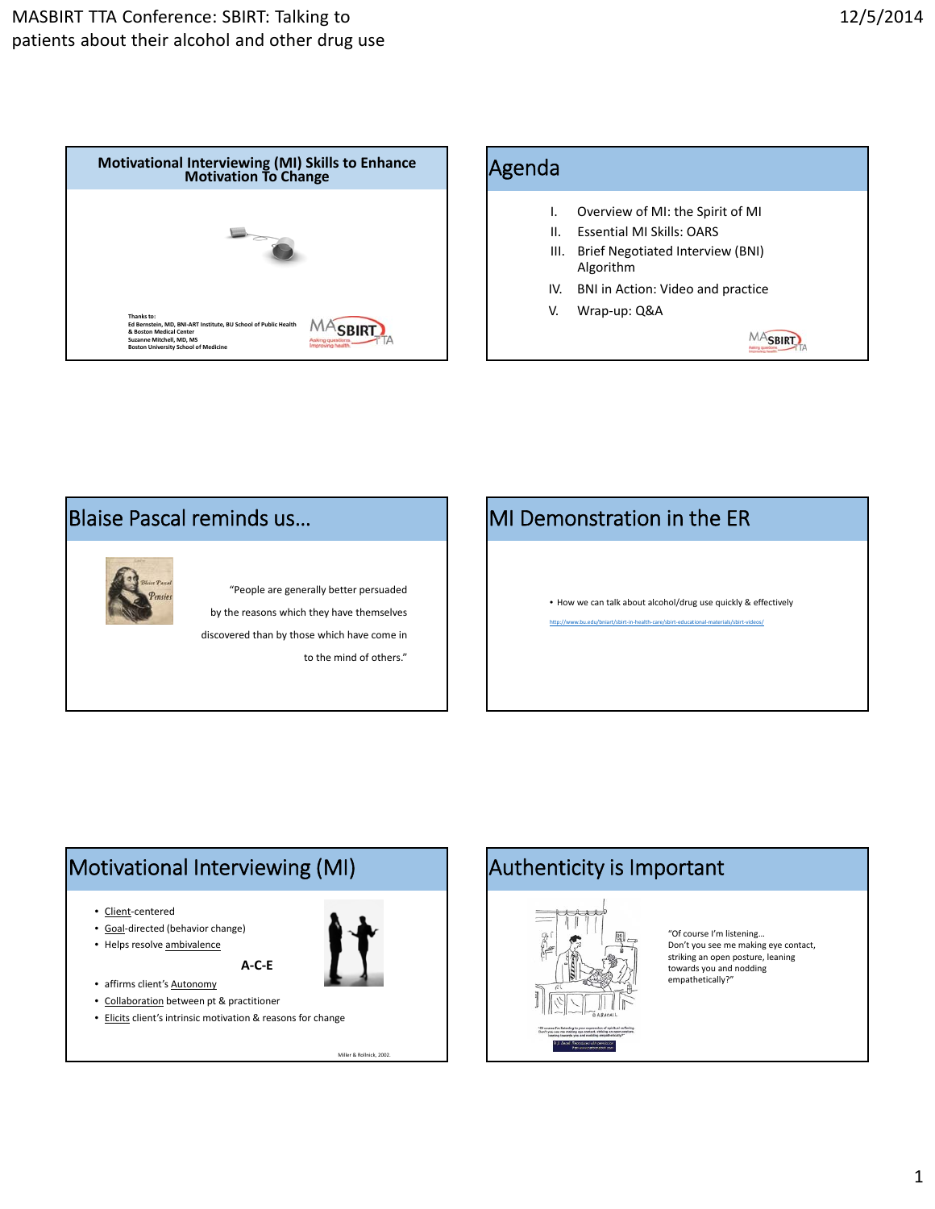





# MI Demonstration in the ER

• How we can talk about alcohol/drug use quickly & effectively

#### ww.bu.edu/bniart/sbirt‐in‐h

## Motivational Interviewing (MI)  $\begin{array}{|c|c|c|c|c|}\n\hline\n\text{Adt} & \text{Antenticity is Important}\n\end{array}$

- Client-centered
- Goal‐directed (behavior change)
- Helps resolve ambivalence

Miller & Rollnick, 2002.

- affirms client's **Autonomy** • Collaboration between pt & practitioner
- Elicits client's intrinsic motivation & reasons for change

**A‐C‐E**



"Of course I'm listening… Don't you see me making eye contact, striking an open posture, leaning towards you and nodding empathetically?"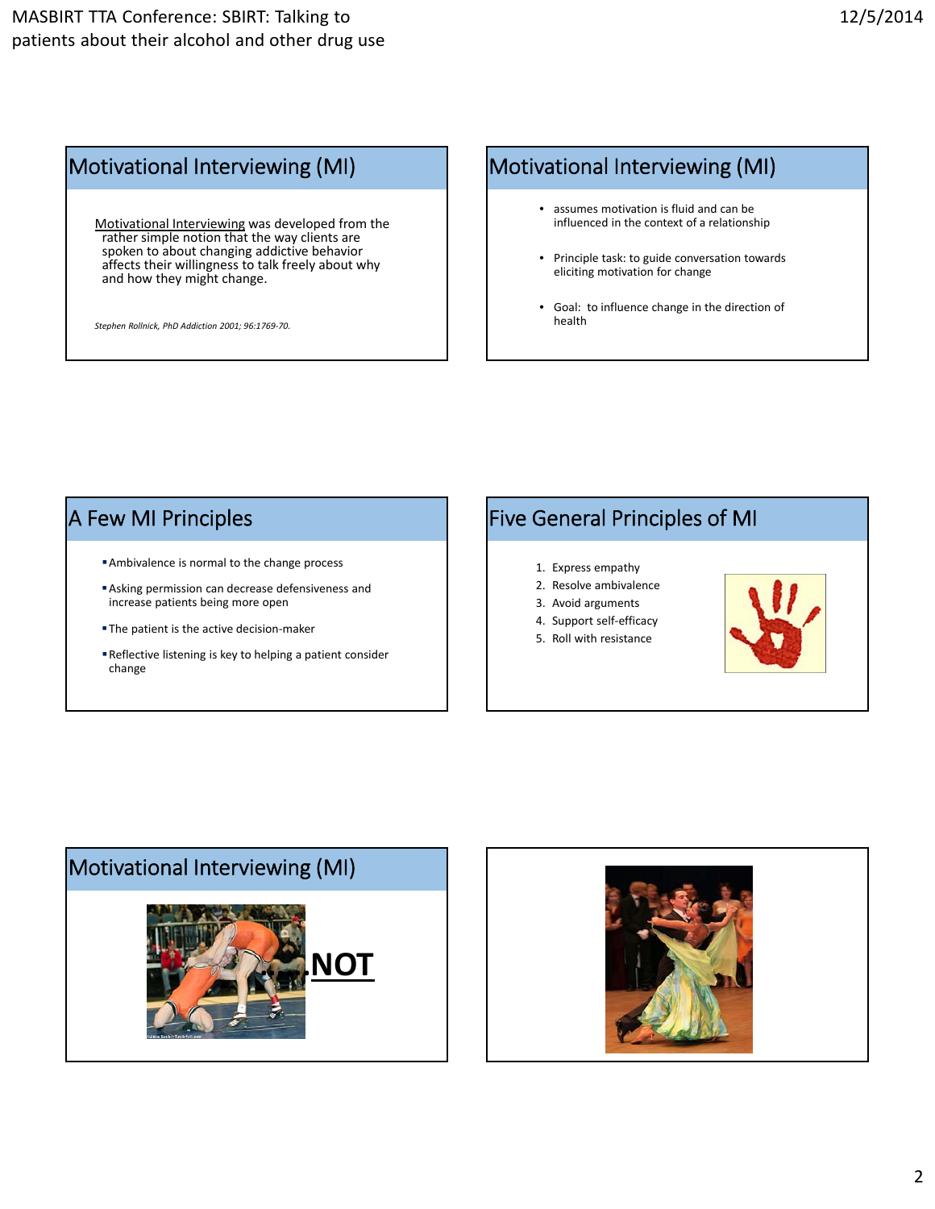## Motivational Interviewing Motivational Interviewing (MI)

Motivational Interviewing was developed from the rather simple notion that the way clients are spoken to about changing addictive behavior affects their willingness to talk freely about why and how they might change.

*Stephen Rollnick, PhD Addiction 2001; 96:1769‐70.*

## Motivational Interviewing (MI)

- assumes motivation is fluid and can be influenced in the context of a relationship
- Principle task: to guide conversation towards eliciting motivation for change
- Goal: to influence change in the direction of health

## A Few MI Principles

- Ambivalence is normal to the change process
- Asking permission can decrease defensiveness and increase patients being more open
- The patient is the active decision-maker
- Reflective listening is key to helping a patient consider change

# Five General Principles of MI

- 1. Express empathy
- 2. Resolve ambivalence
- 3. Avoid arguments
- 4. Support self-efficacy
- 5. Roll with resistance





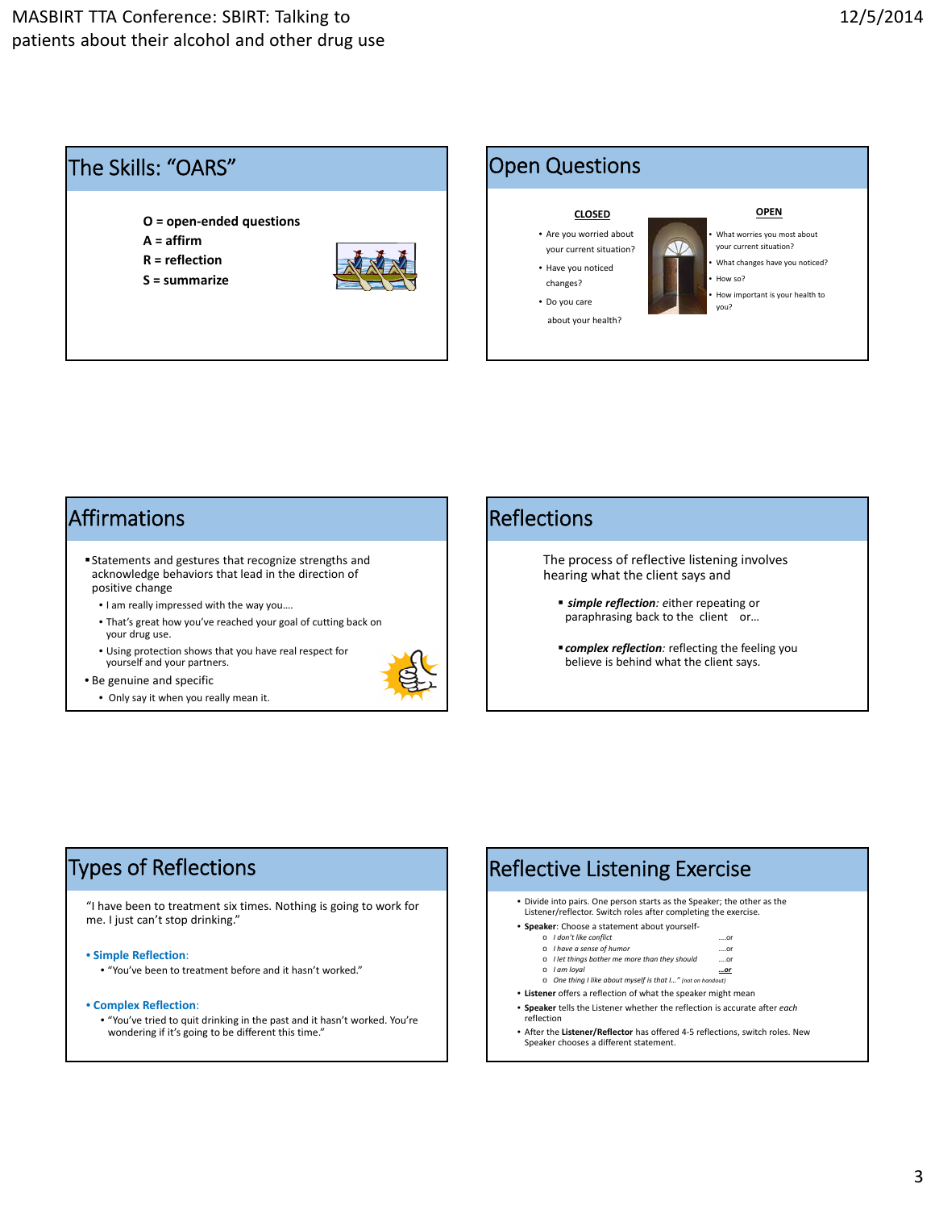



#### Affirmations

- Statements and gestures that recognize strengths and acknowledge behaviors that lead in the direction of positive change
	- I am really impressed with the way you….
	- That's great how you've reached your goal of cutting back on your drug use.
	- Using protection shows that you have real respect for yourself and your partners.



• Only say it when you really mean it.



#### Reflections

The process of reflective listening involves hearing what the client says and

- *simple reflection: e*ither repeating or paraphrasing back to the client or...
- *complex reflection:* reflecting the feeling you believe is behind what the client says.

#### Types of Reflections Types of Reflections

"I have been to treatment six times. Nothing is going to work for me. I just can't stop drinking."

• **Simple Reflection**:

- "You've been to treatment before and it hasn't worked."
- **Complex Reflection**:
	- "You've tried to quit drinking in the past and it hasn't worked. You're wondering if it's going to be different this time."

#### • Divide into pairs. One person starts as the Speaker; the other as the Listener/reflector. Switch roles after completing the exercise. • **Speaker**: Choose a statement about yourself‐ o *I don't like conflict* ….or o *I have a sense of humor*  ….or o *I let things bother me more than they should* ….or o *I am loyal …or* o *One thing I like about myself is that I…" (not on handout)* • **Listener** offers a reflection of what the speaker might mean Reflective Listening Exercise

- **Speaker** tells the Listener whether the reflection is accurate after *each* reflection
- After the **Listener/Reflector** has offered 4‐5 reflections, switch roles. New Speaker chooses a different statement.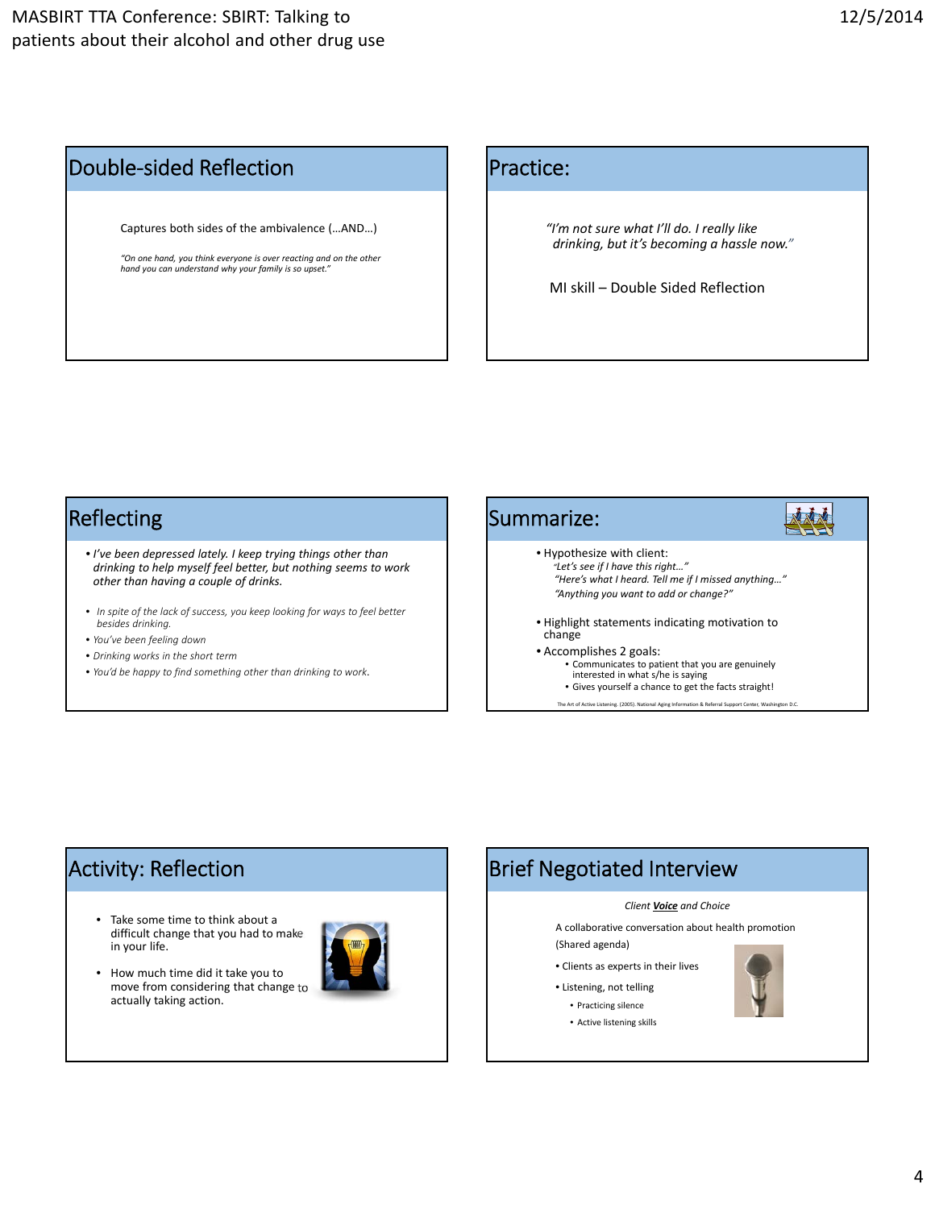#### Double‐sided Reflection

Captures both sides of the ambivalence (…AND…)

*"On one hand, you think everyone is over reacting and on the other hand you can understand why your family is so upset."*

#### Practice:

*"I'm not sure what I'll do. I really like drinking, but it's becoming a hassle now."*

MI skill – Double Sided Reflection

#### Reflecting

- *I've been depressed lately. I keep trying things other than drinking to help myself feel better, but nothing seems to work other than having a couple of drinks.*
- *In spite of the lack of success, you keep looking for ways to feel better besides drinking.*
- *You've been feeling down*
- *Drinking works in the short term*
- *You'd be happy to find something other than drinking to work*.



## Activity: Reflection

- Take some time to think about a difficult change that you had to make in your life.
- How much time did it take you to move from considering that change to actually taking action.



## Brief Negotiated Interview

#### *Client Voice and Choice*

A collaborative conversation about health promotion (Shared agenda)

- Clients as experts in their lives
- Listening, not telling
	- Practicing silence • Active listening skills

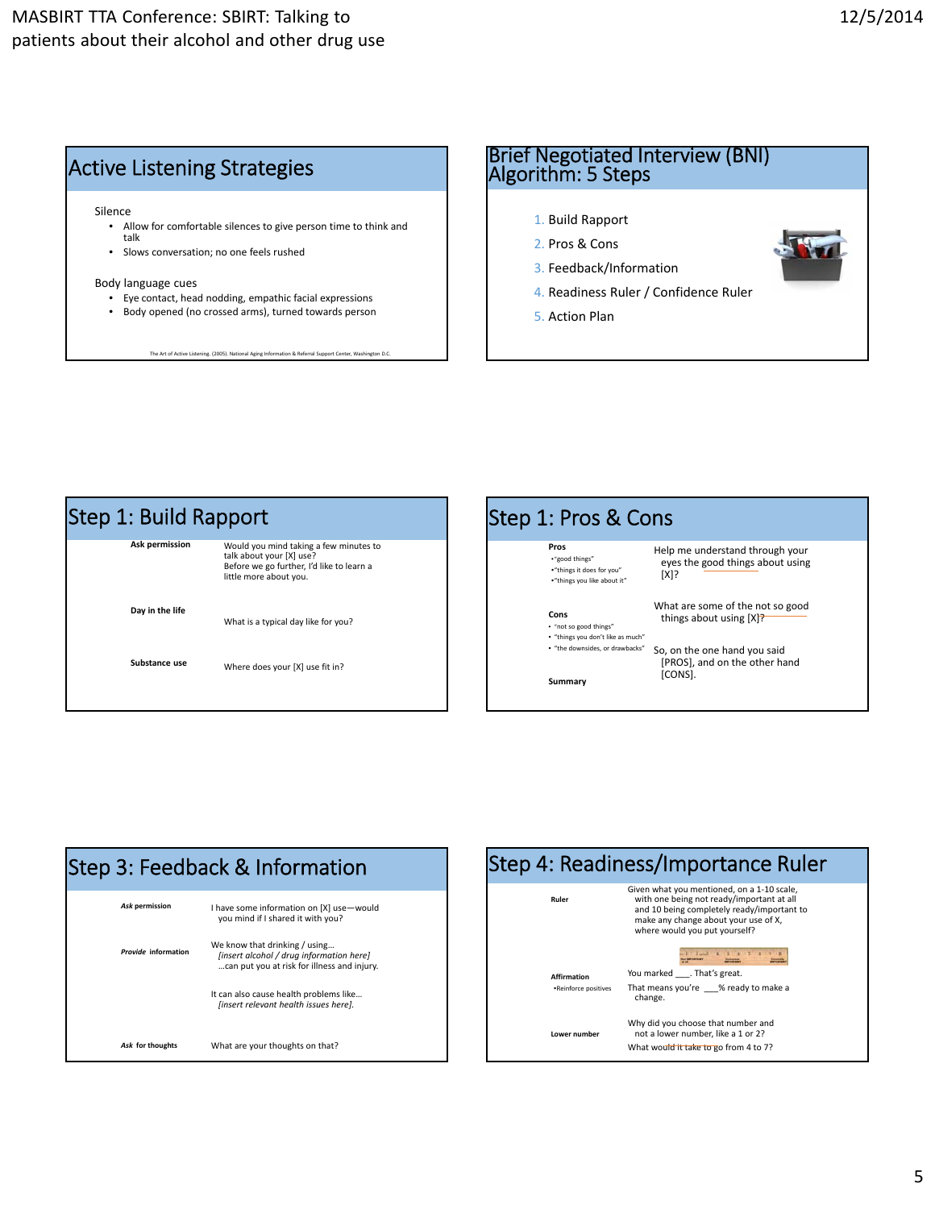

# Brief Negotiated Interview (BNI) Algorithm: <sup>5</sup> Steps

- 1. Build Rapport
- 2. Pros & Cons
- 3. Feedback/Information
- 4. Readiness Ruler / Confidence Ruler
- 5. Action Plan







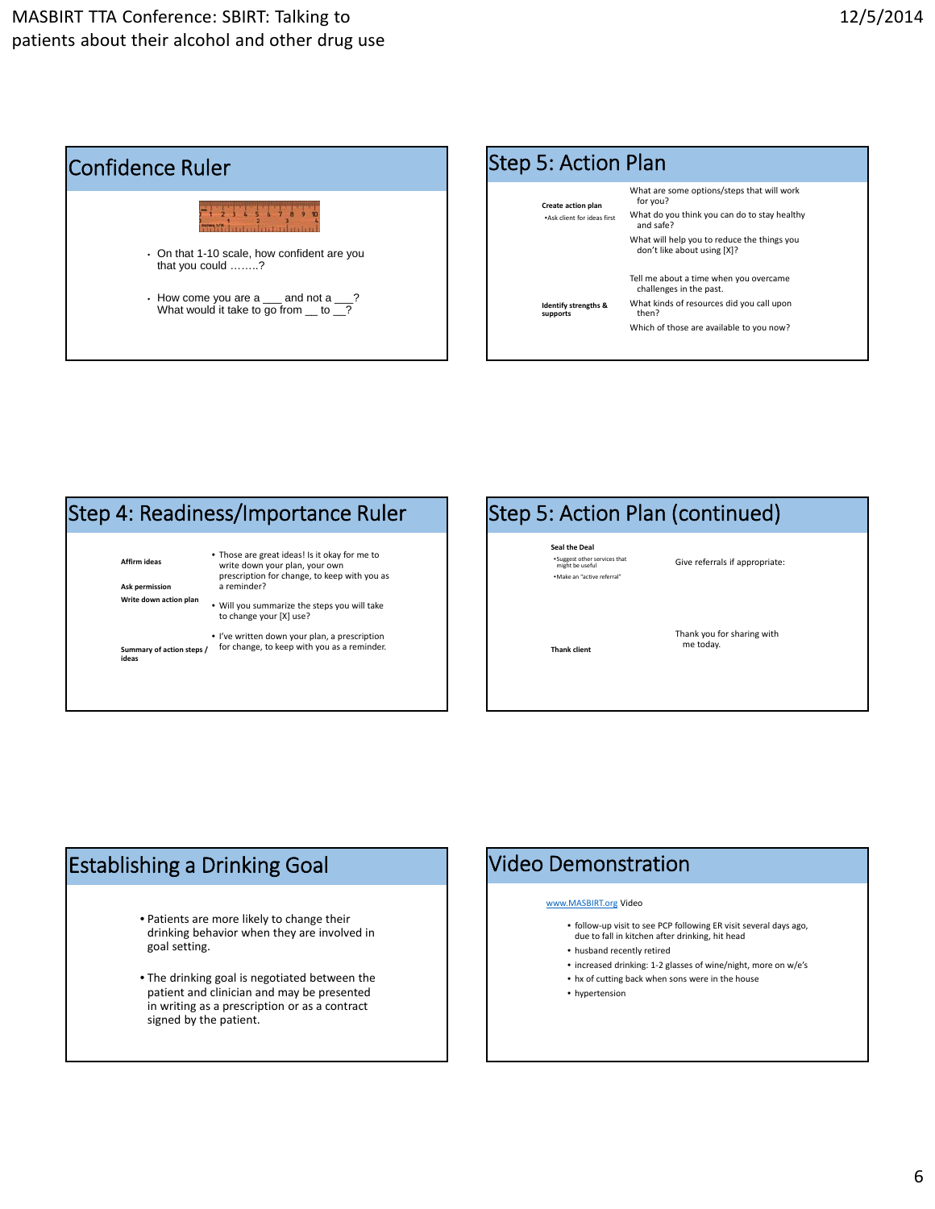



#### **Affirm ideas Ask permission Write down action plan Summary of action steps / ideas** • Those are great ideas! Is it okay for me to write down your plan, your own prescription for change, to keep with you as a reminder? • Will you summarize the steps you will take to change your [X] use? • I've written down your plan, a prescription for change, to keep with you as a reminder. Step 4: Readiness/Importance Ruler

## Step 5: Action Plan (continued)

**Seal the Deal** •Suggest other services that might be useful •Make an "active referral"

Give referrals if appropriate:

**Thank client**

Thank you for sharing with me today.

## Establishing a Drinking Goal

- Patients are more likely to change their drinking behavior when they are involved in goal setting.
- The drinking goal is negotiated between the patient and clinician and may be presented in writing as a prescription or as a contract signed by the patient.

#### Video Demonstration

#### www.MASBIRT.org Video

- follow‐up visit to see PCP following ER visit several days ago, due to fall in kitchen after drinking, hit head
- husband recently retired
- increased drinking: 1‐2 glasses of wine/night, more on w/e's
- hx of cutting back when sons were in the house
- hypertension